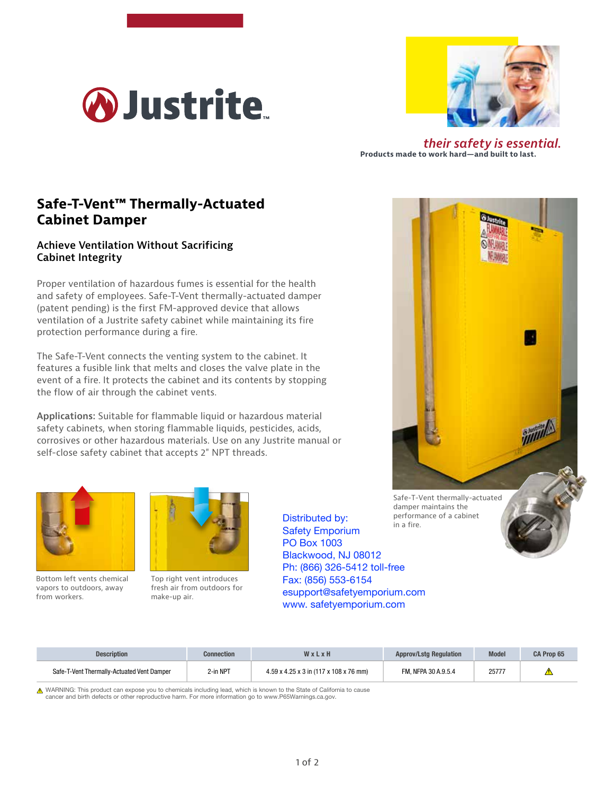



*their safety is essential.* **Products made to work hard—and built to last.**

## **Safe-T-Vent™ Thermally-Actuated Cabinet Damper**

## **Achieve Ventilation Without Sacrificing Cabinet Integrity**

Proper ventilation of hazardous fumes is essential for the health and safety of employees. Safe-T-Vent thermally-actuated damper (patent pending) is the first FM-approved device that allows ventilation of a Justrite safety cabinet while maintaining its fire protection performance during a fire.

The Safe-T-Vent connects the venting system to the cabinet. It features a fusible link that melts and closes the valve plate in the event of a fire. It protects the cabinet and its contents by stopping the flow of air through the cabinet vents.

**Applications:** Suitable for flammable liquid or hazardous material safety cabinets, when storing flammable liquids, pesticides, acids, corrosives or other hazardous materials. Use on any Justrite manual or self-close safety cabinet that accepts 2" NPT threads.



Bottom left vents chemical vapors to outdoors, away from workers.



Top right vent introduces fresh air from outdoors for make-up air.

in a fire. Distributed by: Safety Emporium PO Box 1003 Blackwood, NJ 08012 Ph: (866) 326-5412 toll-free Fax: (856) 553-6154 esupport@safetyemporium.com www. safetyemporium.com

performance of a cabinet



Description Connection W x L x H Approv/Lstg Regulation Model CA Prop 65 Safe-T-Vent Thermally-Actuated Vent Damper 2-in NPT 4.59 x 4.25 x 3 in (117 x 108 x 76 mm) FM, NFPA 30 A.9.5.4 25777  $\triangle$ 

▲ WARNING: This product can expose you to chemicals including lead, which is known to the State of California to cause cancer and birth defects or other reproductive harm. For more information go to www.P65Warnings.ca.gov.